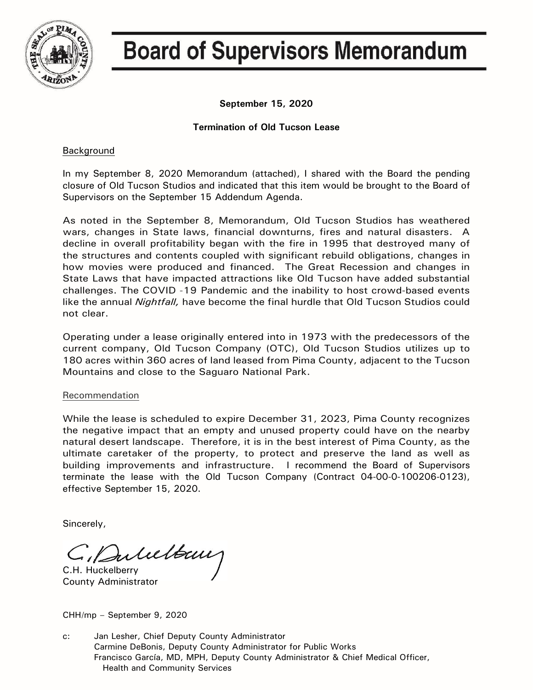

## **Board of Supervisors Memorandum**

**September 15, 2020**

### **Termination of Old Tucson Lease**

### Background

In my September 8, 2020 Memorandum (attached), I shared with the Board the pending closure of Old Tucson Studios and indicated that this item would be brought to the Board of Supervisors on the September 15 Addendum Agenda.

As noted in the September 8, Memorandum, Old Tucson Studios has weathered wars, changes in State laws, financial downturns, fires and natural disasters. A decline in overall profitability began with the fire in 1995 that destroyed many of the structures and contents coupled with significant rebuild obligations, changes in how movies were produced and financed. The Great Recession and changes in State Laws that have impacted attractions like Old Tucson have added substantial challenges. The COVID -19 Pandemic and the inability to host crowd-based events like the annual *Nightfall,* have become the final hurdle that Old Tucson Studios could not clear.

Operating under a lease originally entered into in 1973 with the predecessors of the current company, Old Tucson Company (OTC), Old Tucson Studios utilizes up to 180 acres within 360 acres of land leased from Pima County, adjacent to the Tucson Mountains and close to the Saguaro National Park.

#### Recommendation

While the lease is scheduled to expire December 31, 2023, Pima County recognizes the negative impact that an empty and unused property could have on the nearby natural desert landscape. Therefore, it is in the best interest of Pima County, as the ultimate caretaker of the property, to protect and preserve the land as well as building improvements and infrastructure. I recommend the Board of Supervisors terminate the lease with the Old Tucson Company (Contract 04-00-0-100206-0123), effective September 15, 2020.

Sincerely,

C. Dulultour

County Administrator

CHH/mp – September 9, 2020

c: Jan Lesher, Chief Deputy County Administrator Carmine DeBonis, Deputy County Administrator for Public Works Francisco García, MD, MPH, Deputy County Administrator & Chief Medical Officer, Health and Community Services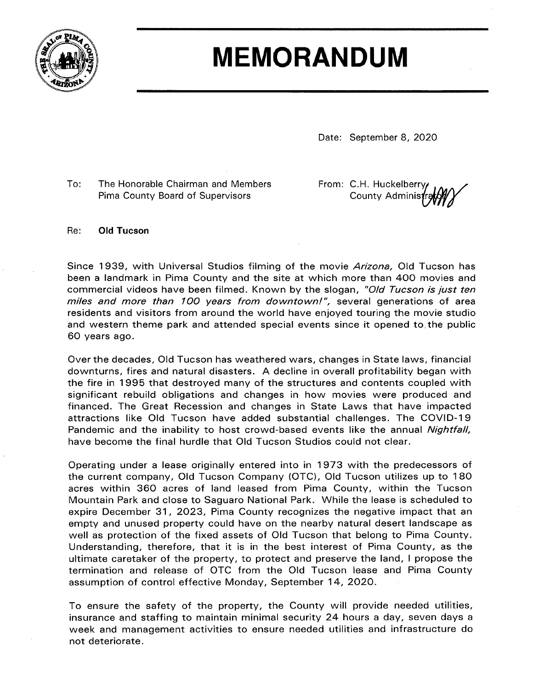

# **MEMORANDUM**

Date: September 8, 2020

To: The Honorable Chairman and Members **Pima County Board of Supervisors** 

From: C.H. Huckelberry County Administrg

Re: **Old Tucson** 

Since 1939, with Universal Studios filming of the movie Arizona, Old Tucson has been a landmark in Pima County and the site at which more than 400 movies and commercial videos have been filmed. Known by the slogan, "Old Tucson is just ten miles and more than 100 years from downtown!", several generations of area residents and visitors from around the world have enjoyed touring the movie studio and western theme park and attended special events since it opened to the public 60 years ago.

Over the decades, Old Tucson has weathered wars, changes in State laws, financial downturns, fires and natural disasters. A decline in overall profitability began with the fire in 1995 that destroyed many of the structures and contents coupled with significant rebuild obligations and changes in how movies were produced and financed. The Great Recession and changes in State Laws that have impacted attractions like Old Tucson have added substantial challenges. The COVID-19 Pandemic and the inability to host crowd-based events like the annual Nightfall, have become the final hurdle that Old Tucson Studios could not clear.

Operating under a lease originally entered into in 1973 with the predecessors of the current company, Old Tucson Company (OTC), Old Tucson utilizes up to 180 acres within 360 acres of land leased from Pima County, within the Tucson Mountain Park and close to Saguaro National Park. While the lease is scheduled to expire December 31, 2023, Pima County recognizes the negative impact that an empty and unused property could have on the nearby natural desert landscape as well as protection of the fixed assets of Old Tucson that belong to Pima County. Understanding, therefore, that it is in the best interest of Pima County, as the ultimate caretaker of the property, to protect and preserve the land, I propose the termination and release of OTC from the Old Tucson lease and Pima County assumption of control effective Monday, September 14, 2020.

To ensure the safety of the property, the County will provide needed utilities, insurance and staffing to maintain minimal security 24 hours a day, seven days a week and management activities to ensure needed utilities and infrastructure do not deteriorate.